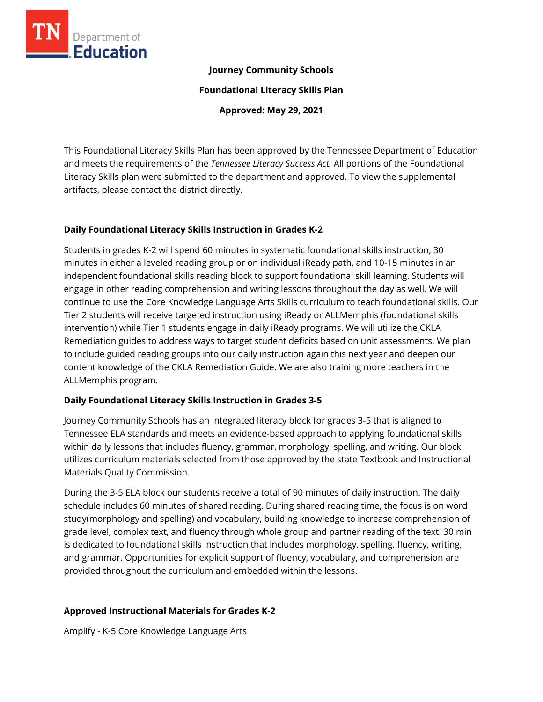

#### **Journey Community Schools**

**Foundational Literacy Skills Plan**

**Approved: May 29, 2021**

This Foundational Literacy Skills Plan has been approved by the Tennessee Department of Education and meets the requirements of the *Tennessee Literacy Success Act.* All portions of the Foundational Literacy Skills plan were submitted to the department and approved. To view the supplemental artifacts, please contact the district directly.

### **Daily Foundational Literacy Skills Instruction in Grades K-2**

Students in grades K-2 will spend 60 minutes in systematic foundational skills instruction, 30 minutes in either a leveled reading group or on individual iReady path, and 10-15 minutes in an independent foundational skills reading block to support foundational skill learning. Students will engage in other reading comprehension and writing lessons throughout the day as well. We will continue to use the Core Knowledge Language Arts Skills curriculum to teach foundational skills. Our Tier 2 students will receive targeted instruction using iReady or ALLMemphis (foundational skills intervention) while Tier 1 students engage in daily iReady programs. We will utilize the CKLA Remediation guides to address ways to target student deficits based on unit assessments. We plan to include guided reading groups into our daily instruction again this next year and deepen our content knowledge of the CKLA Remediation Guide. We are also training more teachers in the ALLMemphis program.

### **Daily Foundational Literacy Skills Instruction in Grades 3-5**

Journey Community Schools has an integrated literacy block for grades 3-5 that is aligned to Tennessee ELA standards and meets an evidence-based approach to applying foundational skills within daily lessons that includes fluency, grammar, morphology, spelling, and writing. Our block utilizes curriculum materials selected from those approved by the state Textbook and Instructional Materials Quality Commission.

During the 3-5 ELA block our students receive a total of 90 minutes of daily instruction. The daily schedule includes 60 minutes of shared reading. During shared reading time, the focus is on word study(morphology and spelling) and vocabulary, building knowledge to increase comprehension of grade level, complex text, and fluency through whole group and partner reading of the text. 30 min is dedicated to foundational skills instruction that includes morphology, spelling, fluency, writing, and grammar. Opportunities for explicit support of fluency, vocabulary, and comprehension are provided throughout the curriculum and embedded within the lessons.

## **Approved Instructional Materials for Grades K-2**

Amplify - K-5 Core Knowledge Language Arts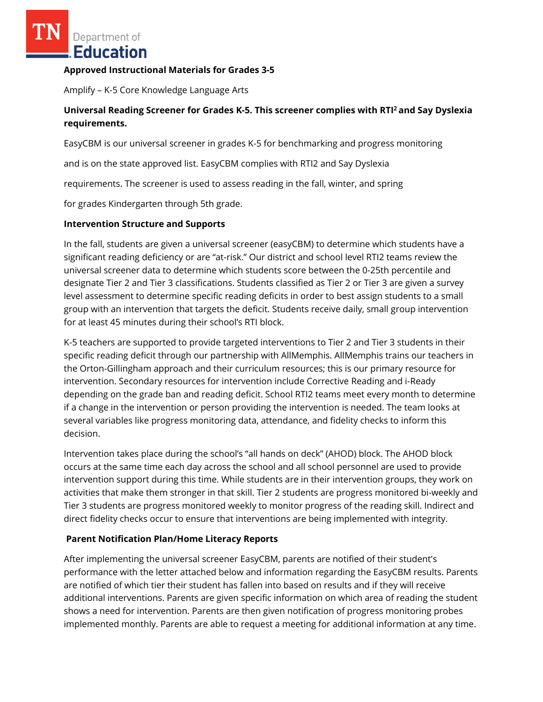Department of Education

#### **Approved Instructional Materials for Grades 3-5**

Amplify – K-5 Core Knowledge Language Arts

## **Universal Reading Screener for Grades K-5. This screener complies with RTI<sup>2</sup>and Say Dyslexia requirements.**

EasyCBM is our universal screener in grades K-5 for benchmarking and progress monitoring

and is on the state approved list. EasyCBM complies with RTI2 and Say Dyslexia

requirements. The screener is used to assess reading in the fall, winter, and spring

for grades Kindergarten through 5th grade.

#### **Intervention Structure and Supports**

In the fall, students are given a universal screener (easyCBM) to determine which students have a significant reading deficiency or are "at-risk." Our district and school level RTI2 teams review the universal screener data to determine which students score between the 0-25th percentile and designate Tier 2 and Tier 3 classifications. Students classified as Tier 2 or Tier 3 are given a survey level assessment to determine specific reading deficits in order to best assign students to a small group with an intervention that targets the deficit. Students receive daily, small group intervention for at least 45 minutes during their school's RTI block.

K-5 teachers are supported to provide targeted interventions to Tier 2 and Tier 3 students in their specific reading deficit through our partnership with AllMemphis. AllMemphis trains our teachers in the Orton-Gillingham approach and their curriculum resources; this is our primary resource for intervention. Secondary resources for intervention include Corrective Reading and i-Ready depending on the grade ban and reading deficit. School RTI2 teams meet every month to determine if a change in the intervention or person providing the intervention is needed. The team looks at several variables like progress monitoring data, attendance, and fidelity checks to inform this decision.

Intervention takes place during the school's "all hands on deck" (AHOD) block. The AHOD block occurs at the same time each day across the school and all school personnel are used to provide intervention support during this time. While students are in their intervention groups, they work on activities that make them stronger in that skill. Tier 2 students are progress monitored bi-weekly and Tier 3 students are progress monitored weekly to monitor progress of the reading skill. Indirect and direct fidelity checks occur to ensure that interventions are being implemented with integrity.

### **Parent Notification Plan/Home Literacy Reports**

After implementing the universal screener EasyCBM, parents are notified of their student's performance with the letter attached below and information regarding the EasyCBM results. Parents are notified of which tier their student has fallen into based on results and if they will receive additional interventions. Parents are given specific information on which area of reading the student shows a need for intervention. Parents are then given notification of progress monitoring probes implemented monthly. Parents are able to request a meeting for additional information at any time.